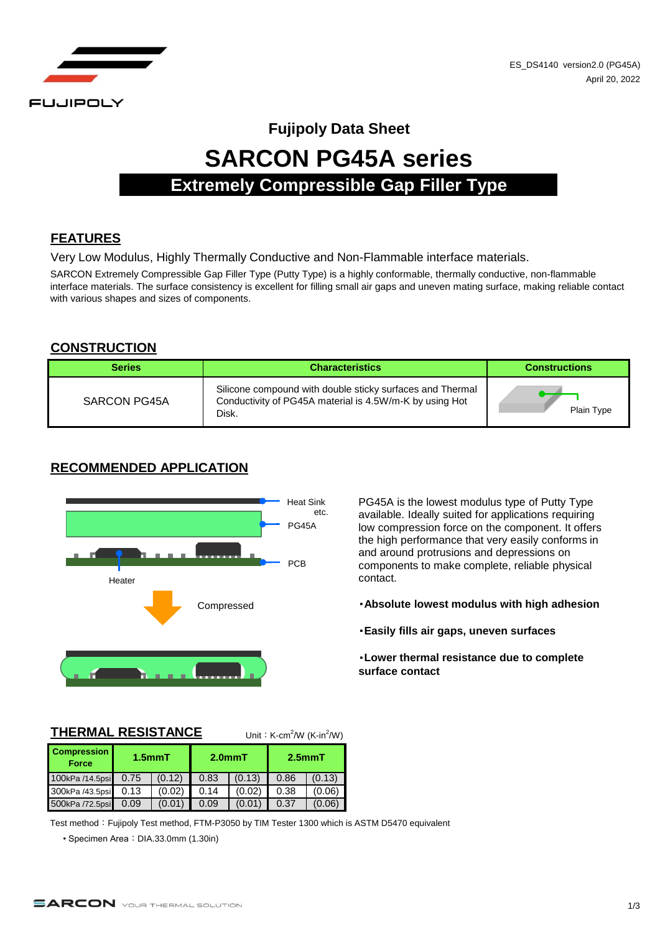

# **Fujipoly Data Sheet SARCON PG45A series Extremely Compressible Gap Filler Type**

# **FEATURES**

Very Low Modulus, Highly Thermally Conductive and Non-Flammable interface materials.

SARCON Extremely Compressible Gap Filler Type (Putty Type) is a highly conformable, thermally conductive, non-flammable interface materials. The surface consistency is excellent for filling small air gaps and uneven mating surface, making reliable contact with various shapes and sizes of components.

### **CONSTRUCTION**

| <b>Series</b> | <b>Characteristics</b>                                                                                                        | <b>Constructions</b> |
|---------------|-------------------------------------------------------------------------------------------------------------------------------|----------------------|
| SARCON PG45A  | Silicone compound with double sticky surfaces and Thermal<br>Conductivity of PG45A material is 4.5W/m-K by using Hot<br>Disk. | Plain Type           |

# **RECOMMENDED APPLICATION**



PG45A is the lowest modulus type of Putty Type available. Ideally suited for applications requiring low compression force on the component. It offers the high performance that very easily conforms in and around protrusions and depressions on components to make complete, reliable physical contact.

- ・**Absolute lowest modulus with high adhesion**
- ・**Easily fills air gaps, uneven surfaces**

・**Lower thermal resistance due to complete surface contact**

#### **THERMAL RESISTANCE**

 $/$ W (K-in<sup>2</sup>/W)

| <b>Compression</b><br><b>Force</b> | $1.5$ mm $T$ |        | $2.0mm$ T |        | $2.5mm$ T |        |
|------------------------------------|--------------|--------|-----------|--------|-----------|--------|
| 100kPa /14.5psi                    | 0.75         | (0.12) | 0.83      | (0.13) | 0.86      | (0.13) |
| 300kPa /43.5psi                    | 0.13         | (0.02) | 0.14      | (0.02) | 0.38      | (0.06) |
| 500kPa /72.5psi                    | 0.09         | (0.01) | 0.09      | (0.01) | 0.37      | (0.06) |

Test method: Fujipoly Test method, FTM-P3050 by TIM Tester 1300 which is ASTM D5470 equivalent

• Specimen Area: DIA.33.0mm (1.30in)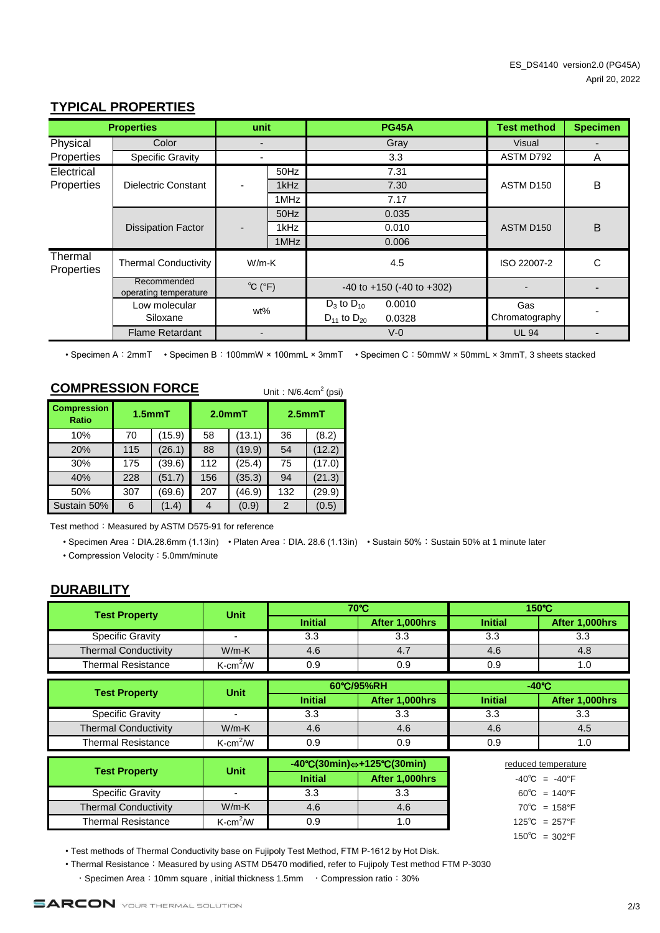# **TYPICAL PROPERTIES**

| <b>Properties</b>         |                                      | unit                        |      | <b>PG45A</b>         |                                     | <b>Test method</b> | <b>Specimen</b>          |
|---------------------------|--------------------------------------|-----------------------------|------|----------------------|-------------------------------------|--------------------|--------------------------|
| Physical                  | Color                                |                             |      |                      | Gray                                | Visual             | $\overline{\phantom{0}}$ |
| Properties                | <b>Specific Gravity</b>              |                             |      |                      | 3.3                                 | ASTM D792          | A                        |
| Electrical                |                                      |                             | 50Hz |                      | 7.31                                |                    |                          |
| Properties                | <b>Dielectric Constant</b>           |                             | 1kHz |                      | 7.30                                | ASTM D150          | B                        |
|                           |                                      |                             | 1MHz |                      | 7.17                                |                    |                          |
|                           |                                      |                             | 50Hz |                      | 0.035                               |                    |                          |
| <b>Dissipation Factor</b> | $\overline{\phantom{a}}$             | 1kHz                        |      | 0.010                | ASTM D150                           | B                  |                          |
|                           |                                      |                             | 1MHz |                      | 0.006                               |                    |                          |
| Thermal<br>Properties     | <b>Thermal Conductivity</b>          | $W/m-K$                     |      |                      | 4.5                                 | ISO 22007-2        | C                        |
|                           | Recommended<br>operating temperature | $^{\circ}C$ ( $^{\circ}F$ ) |      |                      | $-40$ to $+150$ ( $-40$ to $+302$ ) |                    |                          |
|                           | Low molecular                        |                             |      | $D_3$ to $D_{10}$    | 0.0010                              | Gas                |                          |
| Siloxane                  |                                      | wt%                         |      | $D_{11}$ to $D_{20}$ | 0.0328                              | Chromatography     |                          |
|                           | <b>Flame Retardant</b>               |                             |      |                      | $V - 0$                             | <b>UL 94</b>       |                          |

• Specimen A:2mmT • Specimen B:100mmW × 100mmL × 3mmT • Specimen C:50mmW × 50mmL × 3mmT, 3 sheets stacked

# **COMPRESSION FORCE**

Unit:  $N/6.4$ cm<sup>2</sup> (psi)

| <b>Compression</b><br><b>Ratio</b> | $1.5$ mm $T$ |        | $2.0mm$ T |        | $2.5mm$ T |        |
|------------------------------------|--------------|--------|-----------|--------|-----------|--------|
| 10%                                | 70           | (15.9) | 58        | (13.1) | 36        | (8.2)  |
| 20%                                | 115          | (26.1) | 88        | (19.9) | 54        | (12.2) |
| 30%                                | 175          | (39.6) | 112       | (25.4) | 75        | (17.0) |
| 40%                                | 228          | (51.7) | 156       | (35.3) | 94        | (21.3) |
| 50%                                | 307          | (69.6) | 207       | (46.9) | 132       | (29.9) |
| Sustain 50%                        | 6            | (1.4)  |           | (0.9)  | 2         | (0.5)  |

Test method: Measured by ASTM D575-91 for reference

• Specimen Area: DIA.28.6mm (1.13in) • Platen Area: DIA. 28.6 (1.13in) • Sustain 50%: Sustain 50% at 1 minute later

• Compression Velocity: 5.0mm/minute

# **DURABILITY**

|                             | <b>Unit</b>              |                | $70^{\circ}$ C                                                                             | 150°C                             |                                   |
|-----------------------------|--------------------------|----------------|--------------------------------------------------------------------------------------------|-----------------------------------|-----------------------------------|
| <b>Test Property</b>        |                          | <b>Initial</b> | After 1,000hrs                                                                             | <b>Initial</b>                    | After 1,000hrs                    |
| <b>Specific Gravity</b>     | $\overline{\phantom{a}}$ | 3.3            | 3.3                                                                                        | 3.3                               | 3.3                               |
| <b>Thermal Conductivity</b> | $W/m-K$                  | 4.6            | 4.7                                                                                        | 4.6                               | 4.8                               |
| <b>Thermal Resistance</b>   | $K$ -cm <sup>2</sup> /W  | 0.9            | 0.9                                                                                        | 0.9                               | 1.0                               |
|                             |                          | 60°C/95%RH     |                                                                                            | $-40^{\circ}$ C                   |                                   |
| <b>Test Property</b>        | <b>Unit</b>              | <b>Initial</b> | After 1,000hrs                                                                             | <b>Initial</b>                    | After 1,000hrs                    |
| <b>Specific Gravity</b>     | $\overline{\phantom{a}}$ | 3.3            | 3.3                                                                                        | 3.3                               | 3.3                               |
| <b>Thermal Conductivity</b> | $W/m-K$                  | 4.6            | 4.6                                                                                        | 4.6                               | 4.5                               |
| <b>Thermal Resistance</b>   | $K$ -cm <sup>2</sup> /W  | 0.9            | 0.9                                                                                        | 0.9                               | 1.0                               |
|                             | reduced temperature      |                |                                                                                            |                                   |                                   |
| <b>Test Property</b>        | <b>Unit</b>              | <b>Initial</b> | $-40^{\circ}C(30\text{min}) \Leftrightarrow +125^{\circ}C(30\text{min})$<br>After 1,000hrs |                                   | $-40^{\circ}$ C = $-40^{\circ}$ F |
| <b>Specific Gravity</b>     | $\overline{\phantom{0}}$ | 3.3            | 3.3                                                                                        | $60^{\circ}$ C = 140 $^{\circ}$ F |                                   |
| <b>Thermal Conductivity</b> | $W/m-K$                  | 4.6            | 4.6                                                                                        | $70^{\circ}$ C = 158°F            |                                   |
| <b>Thermal Resistance</b>   | $K$ -cm <sup>2</sup> /W  | 0.9            | 1.0                                                                                        | $125^{\circ}C = 257^{\circ}F$     |                                   |

150℃ = 302°F

• Test methods of Thermal Conductivity base on Fujipoly Test Method, FTM P-1612 by Hot Disk.

• Thermal Resistance: Measured by using ASTM D5470 modified, refer to Fujipoly Test method FTM P-3030

・Specimen Area:10mm square , initial thickness 1.5mm ・Compression ratio:30%